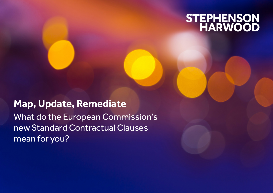# STEPHENSON<br>HARWOOD

# **Map, Update, Remediate** What do the European Commission's new Standard Contractual Clauses mean for you?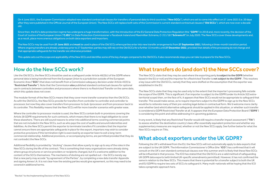On 4 June 2021, the European Commission adopted new standard contractual clauses for transfers of personal data to third countries ("**New SCCs**"), which are set to come into effect on 27 June 2021 (i.e. 20 days after they were published in the Official Journal of the European Union). The New SCCs will replace both sets of the Commission's current standard contractual clauses ("**Old SCCs**"), which are now over a decade old.

Since then, the EU's data protection regime has undergone a huge transformation, with the introduction of the EU General Data Protection Regulation (the "**GDPR**") in 2018 and, more recently, the decision of the Court of Justice of the European Union ("**CJEU**") in Data Protection Commissioner v Facebook Ireland and Maximillian Schrems, C-311/18 ("**Schrems II**") in July 2020. The New SCCs cover these developments and, as a result, place more onerous obligations on both data exporters and importers.

The New SCCs may be used from **27 June 2021** and **must** be used in place of the Old SCCs where parties enter into new transfer arrangements from **27 September 2021**, following a three-month transition period. Where ongoing transfers are already underway prior to 27 September, parties may still rely on the Old SCCs for a further 15 months until **27 December 2022**, provided that details of the processing do not change and that appropriate safeguards for the transfer are otherwise provided.

This update sets out the scope and applicability of the New SCCs and identifies some of the key changes compared to the Old SCCs. It also recommends steps you can take to prepare for the New SCCs.

# How do the New SCCs work?

Like the Old SCCs, the New SCCs should be used as a safeguard under Article 46(2)(c) of the GDPR where personal data is being transferred from the European Union to a jurisdiction outside of the European Economic Area ("**EEA**") that does not benefit from a Commission adequacy decision under Article 45(3) (a "**Restricted Transfer**"). Note that the Commission **also** published standard contractual clauses for optional use in contracts between controllers and processors where there is no Restricted Transfer on the same date, which this update does not cover.

The modular format of the New SCCs means that they cover more transfer scenarios than the Old SCCs. As with the Old SCCs, the New SCCs provide for transfers from controller to controller and controller to processor, but now they also cover transfers from processor to (sub-)processor and from processor back to its controller. This flexibility means that the New SCCs will far more transfer scenarios with greater ease.

Where the controller to processor module is used, the New SCCs contain built-in provisions covering the Article 28 GDPR requirements for such contracts, which means that there is no legal obligation to cover these elsewhere. There are still sound reasons to enter into additional terms covering commercial points that are not included in the New SCCs, such as who pays the cost of audits and around indemnities and liabilities. As the New SCCs permit the exporter to terminate transfers if it considers that the importer cannot ensure there are appropriate safeguards in place for the export, importers may wish to consider protective provisions if this termination right is exercised by an exporter keen to exit a long-term commercial relationship. Additional provisions, or accompanying terms, are permitted provided that they do not contradict the New SCCs.

Additional flexibility is provided by "docking" clauses that allow a party to sign up to any of the roles in the New SCCs during the life of the contract. This is something that many organisations were already doing where group structures or service providers or recipients changed, but it's a welcome addition to the content of the SCCs themselves. The mechanics of docking are not spelled out – the SCCs merely say that a new party may accede "by agreement of the Parties", by completing a new data transfer Appendix and signing Annex I.A. It is not clear how the existing parties would give agreement, so this may need to be covered in additional terms.

# What transfers do (and don't) the New SCCs cover?

The New SCCs state that they may be used where the exporting party **is subject to the GDPR** (whether based in the EU or not) and the importer for a Restricted Transfer is **not subject to the GDPR**<sup>1</sup> . This resolves a key issue with the Old SCCs, namely that they were drafted on the assumption that the exporter was established in the EU.

The New SCCs state that they may be used only to the extent that the importer's processing falls outside the scope of the GDPR. This is significant: if an importer is subject to the GDPR (under its Article 3(2) extraterritorial scope) then, on the face of it, it appears that New SCCs would not be appropriate to safeguard that transfer. This would make sense, as to require importers subject to the GDPR to sign up to the New SCCs would be to reiterate many of their pre-existing legal duties in contractual form. We'd welcome more clarity over whether (and which) alternative safeguards should be applied in this situation, or whether such transfer is considered a GDPR Restricted Transfer at all. It appears that the European Data Protection Board ("**EDPB**") is considering this point and will be addressing it in upcoming guidance.

In any event, is likely that any Restricted Transfer would still require a transfer impact assessment ("**TIA**") to assess whether the destination country's laws offer essentially equivalent protection and whether any supplementary measures are required, whether or not the New SCCs apply. See further below for what the New SCCs require on TIAs.

# What about exporters under the UK GDPR?

Following the UK's withdrawal from the EU, the New SCCs will not automatically apply to data exports that are subject to the UK GDPR. The Information Commissioner's Office (the "**ICO**") has confirmed that it will consult on the UK's own standard contractual clauses over this summer and it is likely that these New SCCs will be influential in that process. The ICO has stated that the Old SCCs are a valid method of safeguarding UK GDPR data exports (with limited UK-specific amendments permitted). However, it has not confirmed the same in relation to the New SCCs. This means that there is potential for a transfer subject to both the UK and EU GDPR to require two sets of SCCs to safeguard it. Many multi-nationals will be hoping that the ICO takes a pragmatic approach here.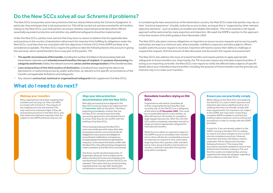# Do the New SCCs solve all our Schrems II problems?

The New SCCs incorporate some new provisions that are clearly influenced by the Schrems II judgment. In particular, they anticipate that a risk assessment (or TIA) will be carried out and documented for all transfers relying on the New SCCs, such that parties can assess whether exported personal data will be offered essentially equivalent protection and whether any additional safeguards should be implemented.

Under the New SCCs, parties must warrant that they have no reason to believe that the applicable laws and practices in the country of destination will prevent the importer from fulfilling its obligations under the New SCCs. Local laws that are consistent with the objectives in Article 23(1) of the GDPR are likely to be considered acceptable. The New SCCs require the parties to take the following factors into account in giving this warranty, which would therefore form a key part of the parties' TIA:

- ü **The specific circumstances of the transfer,** including the number of entities in the processing chain and transmission channels used; **intended onward transfers; the type of recipient**; the **purpose of processing;** the **categories and format** of data; the relevant economic **sector; and the storage location** of the transferred data.
- ü **Laws and practices of the third country of destination**, including those requiring the data to be disclosed to, or authorising access by, public authorities, as relevant to the specific circumstances of the transfer and applicable limitations and safeguards.
- $\checkmark$  Any relevant **contractual, technical or organisational safequards** that supplement the New SCCs.

# What do I need to do next?

In considering the laws and practices of the destination country, the New SCCs state that parties may rely on their "practical experience" of public authority access to data, as long as this is "supported by other relevant, objective elements", such as publicly accessible and reliable information. This move towards a risk-based approach will be welcomed by many exporters and importers. We await the EDPB's reaction to this approach in the final version of its draft guidance from November 2020.

The New SCCs also place onerous obligations on importers to ensure access requests and access by public authorities are kept to a minimum and, where possible, notified to exporters and data subjects. Where a public authority access request is received, importers will need to assess their ability to challenge or suspend the request, limit the amount of data disclosed; and document the request and assessment.

The New SCCs also address the issue of onward transfers and require parties to apply appropriate safeguards to those transfers too. Importantly, the TIA must also assess any intended onward transfers. If acting as an importing controller, the New SCCs now require to notify the affected data subjects of specific details about your intended onward transfers, including the purpose of those transfers and the grounds you intend to rely on to make such transfers.

# **(Re)map your transfers**

Many organisations have been mapping their transfers and carrying out TIAs in an effort to comply with Schrems II. The outputs of any mapping exercise and existing TIAs may need to be reviewed in light of the risk assessment provisions in the New SCCs, plus their distinction between importers that are subject to the GDPR and those that are not.

# **Align your data protection documentation with the New SCCs**

New data processing terms aligned to the New SCCs must be ready to be rolled out from **27 September 2021** at the latest. Therefore, beginning immediately, entities that use the New SCCs should review their data processing agreements and standard terms to ensure that they do not conflict with the drafting of the New SCCs.

This is necessary because the New SCCs cover very similar ground to many other data processing contracts, such as the Article 28 obligations on processors and obligations around breach notifications, transparency and appropriate technical and organisational measures. To the extent that these conflict with the New SCCs, they will need to be changed and made consistent, as the New SCCs must prevail.

The three-month transitional period to 27 September allows for time to adjust terms before the New SCCs become mandatory for new Restricted Transfers and the Old SCCs are repealed. This means that any contracts being negotiated that may sign after September should look to incorporate the New SCCs now.

# **Remediate transfers relying on Old SCCs**

Organisations will need to remediate all of their ongoing Restricted Transfers that currently rely on the Old SCCs as a safeguard, at the latest by **27 December 2022**. This could be a considerable task for many entities, as they will have just 18 months to complete a large repapering exercise. After this, the Old SCCs will be completely redundant and will no longer provide an appropriate safeguard for international transfers.

While the onus will be on exporters subject to the GDPR to push to remediate their transfer terms, there will also be considerable pressure on importers to respond in time, particularly large importers that operate under standard terms. Intra-group transfers and transfers to vendors, customers and other third parties must all be considered.

## **Ensure you can practically comply**

While rolling out the New SCCs and replacing the Old SCCs is a task in itself, exporters and importers also have a significant job to do in verifying that they can actually comply with their requirements. For importers not subject to the GDPR, this may mean conducting a complete GDPR compliance overhaul and putting in place measures such as notices and procedures in order to comply with the GDPR principles.

In practice, if you are already subject to the GDPR, moving to the New SCCs is unlikely to require too many changes to your current internal compliance practices. However, remember that there will still be a need to undertake TIAs for Restricted Transfers following Schrems II. This means that procedures should be updated to ensure that all Restricted Transfers undergo a TIA, and that the results are implemented, and any supplemental measures adopted, regardless of any reliance on the New SCCs.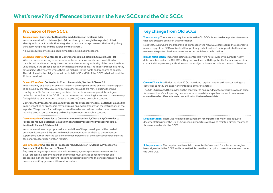# What's new? Key differences between the New SCCs and the Old SCCs

### **Transparency: Controller to Controller module: Section II, Clause 8.2(a)**

Importers must inform data subjects (either directly or through the exporter) of their identity and contact details, the categories of personal data processed, the identity of any third party recipients and the purpose of the transfer.

No such requirements are placed on importers acting as processors.

**Breach Notification: Controller to Controller module, Section II, Clause 8.5(e) - (f )** Where an importer acting as a controller suffers a personal data breach in relation to transferred data it must notify the exporter and supervisory authority of the breach without undue delay if the breach poses a risk to rights and freedoms. The importer must also notify data subjects themselves where there is a high risk to the rights and freedoms of people. This is in line with the obligations set out in Article 33 and 34 of the GDPR, albeit without the 72 hour time limit.

### **Onward Transfers: Controller to Controller module, Section II Clause 8.7**

Importers may only make an onward transfer if the recipient of the onward transfer agrees to be bound by the New SCCs or if certain other grounds are met, including the third country benefits from an adequacy decision, the parties ensure appropriate safeguards under Art. 46 and 47 of the GDPR, the parties enter into a binding instrument, it is necessary for legal claims or vital interests or (as a last resort) based on explicit consent.

**Controller to Processor module and Processor to Processor module, Section II, Clause 8.8** Importers acting as processors may only make an onward transfer on the instructions of the exporter. The grounds for making an onward transfer are reduced under these two modules, meaning processors cannot rely on binding instruments or explicit consent.

**Documentation: Controller to Controller module Section II, Clause 8.9; Controller to Processor module Section II, Clause 8.9(b) and (c); Processor to Processor module, Section II, Clause 8.9(b) and (c)**

Importers must keep appropriate documentation of the processing activities carried out under its responsibility and make such documentation available to the competent supervisory authority (in the case of controller importers) or the exporter/controller (in the case of processor exporters) on request. 

### **Sub-processors: Controller to Processor Module, Section II, Clause 9, Processor to Processor Module, Section II, Clause 9**

Any party acting as a processor that wishes to engage sub-processors must enter into a sub-processing agreement and the controller must provide consent for such subprocessing in the form of either (i) specific authorisation prior to the engagement of a subprocessor or (ii) by general written authorisation.

# Provision of New SCCs and the set of the set of the set of the Key change from Old SCCs

**Transparency:** There were no requirements in the Old SCCs for controller importers to ensure that data subjects are given this information.

Note that, even where the transfer is to a processor, the New SCCs still require the exporter to make a copy of the SCCs available, although it may redact parts of the Appendix to the extent necessary to protect business secrets or other confidential information.

**Breach Notification:** Importers acting as controllers were not previously required to notify data breaches under the Old SCCs. They are now faced with the potential for much more direct contact with supervisory authorities and data subjects, in relation to breaches and otherwise.

**Onward Transfers:** Under the New SCCs, there is no requirement for an importer acting as a controller to notify the exporter of intended onward transfers

The Old SCCs placed the burden on the controller to ensure adequate safeguards were in place for onward transfers. Importing processors must now take steps themselves to ensure any onward transfer offers adequate protection for the transferred data.

**Documentation:** There was no specific requirement for importers to maintain adequate documentation under the Old SCCs, meaning importers will have to maintain similar records to those required under the GDPR.

**Sub-processors:** The requirement to obtain the controller's consent for sub-processing has been aligned with the GDPR and is more flexible than the strict prior consent requirement under the Old SCCs.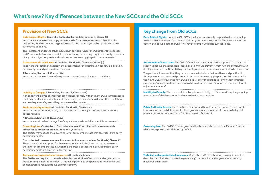# What's new? Key differences between the New SCCs and the Old SCCs

### **Data Subject Rights: Controller to Controller module, Section II, Clause 10**

Importers are required to comply with requests for access, erasure and objections to processing for direct marketing purposes and offer data subjects the option to contest automated decisions.

This is different under the other modules, in particular under the Controller to Processor and Processor to Processor modules, where importers are only required to notify exporters of any data subject requests and assist exporters in complying with these requests.

### **Assessment of Local Laws: All modules, Section III, Clause 14(a) and (b)**

Importers are required to assist in the assessment of the destination country's legislation, particularly around public authority access.

### **All modules, Section III, Clause 14(e)**

Importers are required to notify exporters of any relevant changes to such laws.

### **Inability to Comply: All modules, Section III, Clause 14(f )**

If an exporter believes an importer can no longer comply with the New SCCs, it must assess the transfers. If additional safeguards may assist, the exporter **must** apply them or if there are no adequate safeguards they **must** cease the transfer.

### **Public Authority Access: All modules, Section III, Clause 15.1**

Importers must promptly notify the exporter and data subjects of any public authority access request.

### **All Modules, Section III, Clause 15.2**

Importers must review the legality of any such requests and document its assessment.

**Governing Law: Controller to Controller module, Controller to Processor module, Processor to Processor module, Section IV, Clause 17**

The parties may choose the governing law of any member state that allows for third party beneficiary rights.

**Controller to Processor module, Processor to Processor module, Section IV, Clause 17** There is an additional option for these two modules which allows the parties to select the law of the member state in which the exporter is established, provided third-party beneficiary rights are allowed under that law. 

### **Technical and organisational measures: All modules, Annex II**

The Parties are required to provide a detailed description of technical and organisational measures implemented in Annex II. This description is to be specific and not generic and demonstrates a renewed focus on cybersecurity.

# Provision of New SCCs and the set of the set of the set of the Key change from Old SCCs

**Data Subject Rights:** Under the Old SCCs, the importer was only responsible for responding to data subject requests if that was explicitly agreed with the exporter. This means importers otherwise not subject to the GDPR will have to comply with data subject rights.

**Assessment of Local Laws:** The Old SCCs included a warranty by the importer that it had no reason to believe that applicable local legislation would prevent it from fulfilling complying with its obligations but the New SCCs go further by requiring an active assessment to be carried out.

The parties still warrant that they have no reason to believe that local laws and practices in the importer's country would prevent the importer from complying with its obligations under the New SCCs. However, the new SCCs explicitly allow the parties to rely on their "practical experience" of public authority access to data, as long as this is "supported by other relevant, objective elements".

**Inability to Comply:** There are additional requirements in light of Schrems II requiring ongoing assessment of the data protection laws in destination countries.

**Public Authority Access:** The New SCCs place an additional burden on importers not only to inform exporters and data subjects about government access requests but also to try and prevent disproportionate access. This is in line with Schrems II.

**Governing Law:** The Old SCCs were governed by the law and courts of the Member State in which the exporter is established by default.

**Technical and organisational measures:** Under the Old SCCs, there was no requirement to describe specifically (as opposed to generically) the technical and organisational security measures put in place.